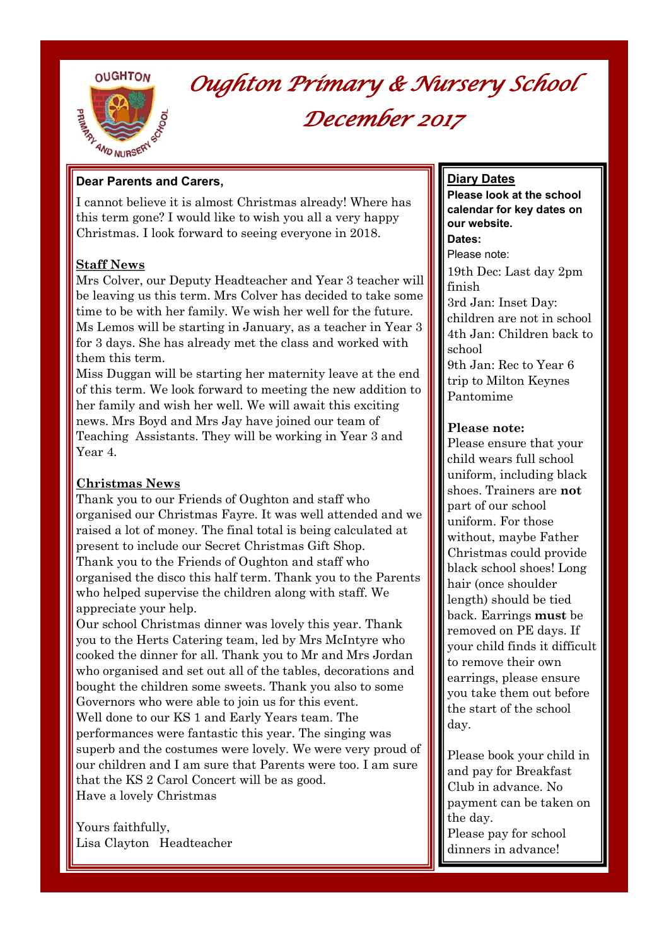**OUGHTON** 



*Oughton Primary & Nursery School December 2017* 

#### **Dear Parents and Carers,**

I cannot believe it is almost Christmas already! Where has this term gone? I would like to wish you all a very happy Christmas. I look forward to seeing everyone in 2018.

### **Staff News**

Mrs Colver, our Deputy Headteacher and Year 3 teacher will be leaving us this term. Mrs Colver has decided to take some time to be with her family. We wish her well for the future. Ms Lemos will be starting in January, as a teacher in Year 3 for 3 days. She has already met the class and worked with them this term.

Miss Duggan will be starting her maternity leave at the end of this term. We look forward to meeting the new addition to her family and wish her well. We will await this exciting news. Mrs Boyd and Mrs Jay have joined our team of Teaching Assistants. They will be working in Year 3 and Year 4.

### **Christmas News**

Thank you to our Friends of Oughton and staff who organised our Christmas Fayre. It was well attended and we raised a lot of money. The final total is being calculated at present to include our Secret Christmas Gift Shop. Thank you to the Friends of Oughton and staff who organised the disco this half term. Thank you to the Parents who helped supervise the children along with staff. We appreciate your help.

Our school Christmas dinner was lovely this year. Thank you to the Herts Catering team, led by Mrs McIntyre who cooked the dinner for all. Thank you to Mr and Mrs Jordan who organised and set out all of the tables, decorations and bought the children some sweets. Thank you also to some Governors who were able to join us for this event. Well done to our KS 1 and Early Years team. The performances were fantastic this year. The singing was superb and the costumes were lovely. We were very proud of our children and I am sure that Parents were too. I am sure that the KS 2 Carol Concert will be as good. Have a lovely Christmas

Yours faithfully, Lisa Clayton Headteacher

#### **Diary Dates**

**Please look at the school calendar for key dates on our website. Dates:**  Please note: 19th Dec: Last day 2pm finish 3rd Jan: Inset Day: children are not in school 4th Jan: Children back to school

9th Jan: Rec to Year 6 trip to Milton Keynes Pantomime

#### **Please note:**

Please ensure that your child wears full school uniform, including black shoes. Trainers are **not**  part of our school uniform. For those without, maybe Father Christmas could provide black school shoes! Long hair (once shoulder length) should be tied back. Earrings **must** be removed on PE days. If your child finds it difficult to remove their own earrings, please ensure you take them out before the start of the school day.

Please book your child in and pay for Breakfast Club in advance. No payment can be taken on the day. Please pay for school dinners in advance!